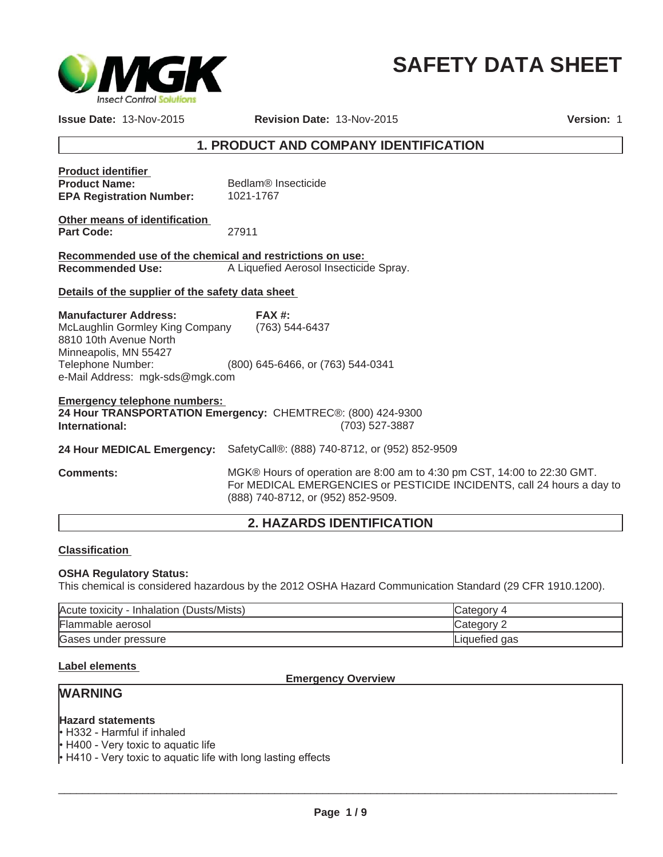

# **SAFETY DATA SHEET**

**Issue Date:** 13-Nov-2015

**Revision Date:** 13-Nov-2015 **Version:** 1

### **1. PRODUCT AND COMPANY IDENTIFICATION**

| <b>Product identifier</b><br><b>Product Name:</b><br><b>EPA Registration Number:</b>                                                                                                      | Bedlam <sup>®</sup> Insecticide<br>1021-1767                                  |
|-------------------------------------------------------------------------------------------------------------------------------------------------------------------------------------------|-------------------------------------------------------------------------------|
| Other means of identification<br><b>Part Code:</b>                                                                                                                                        | 27911                                                                         |
| Recommended use of the chemical and restrictions on use:<br><b>Recommended Use:</b>                                                                                                       | A Liquefied Aerosol Insecticide Spray.                                        |
| Details of the supplier of the safety data sheet                                                                                                                                          |                                                                               |
| <b>Manufacturer Address:</b><br>McLaughlin Gormley King Company (763) 544-6437<br>8810 10th Avenue North<br>Minneapolis, MN 55427<br>Telephone Number:<br>e-Mail Address: mgk-sds@mgk.com | FAX#<br>(800) 645-6466, or (763) 544-0341                                     |
| <b>Emergency telephone numbers:</b><br>International:                                                                                                                                     | 24 Hour TRANSPORTATION Emergency: CHEMTREC®: (800) 424-9300<br>(703) 527-3887 |
| 24 Hour MEDICAL Emergency:                                                                                                                                                                | SafetyCall®: (888) 740-8712, or (952) 852-9509                                |
| <b>Comments:</b>                                                                                                                                                                          | MGK® Hours of operation are 8:00 am to 4:30 pm CS                             |

**T, 14:00 to 22:30 GMT.** For MEDICAL EMERGENCIES or PESTICIDE INCIDENTS, call 24 hours a day to (888) 740-8712, or (952) 852-9509.

### **2. HAZARDS IDENTIFICATION**

### **Classification**

#### **OSHA Regulatory Status:**

This chemical is considered hazardous by the 2012 OSHA Hazard Communication Standard (29 CFR 1910.1200).

| Acute toxicity - Inhalation (Dusts/Mists) | lCategory     |
|-------------------------------------------|---------------|
| Flammable aerosol                         | Category 2    |
| Gases under pressure                      | Liquefied gas |

### **Label elements**

#### **Emergency Overview**

### **WARNING**

#### **Hazard statements**

• H332 - Harmful if inhaled

 $\cdot$  H400 - Very toxic to aquatic life

 $\cdot$  H410 - Very toxic to aquatic life with long lasting effects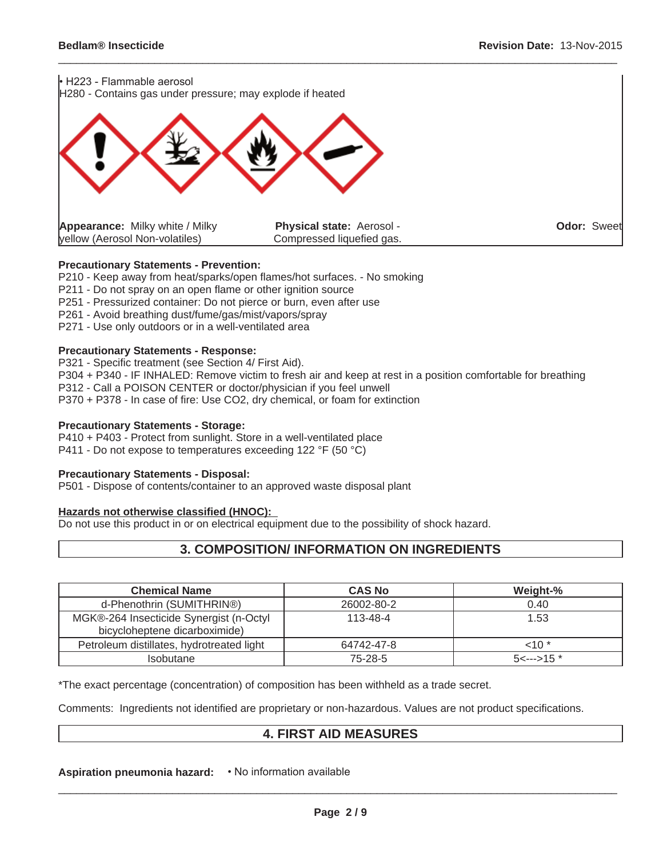

#### **Precautionary Statements - Prevention:**

P210 - Keep away from heat/sparks/open flames/hot surfaces. - No smoking

P211 - Do not spray on an open flame or other ignition source

P251 - Pressurized container: Do not pierce or burn, even after use

P261 - Avoid breathing dust/fume/gas/mist/vapors/spray

P271 - Use only outdoors or in a well-ventilated area

#### **Precautionary Statements - Response:**

P321 - Specific treatment (see Section 4/ First Aid).

P304 + P340 - IF INHALED: Remove victim to fresh air and keep at rest in a position comfortable for breathing

P312 - Call a POISON CENTER or doctor/physician if you feel unwell

P370 + P378 - In case of fire: Use CO2, dry chemical, or foam for extinction

#### **Precautionary Statements - Storage:**

P410 + P403 - Protect from sunlight. Store in a well-ventilated place P411 - Do not expose to temperatures exceeding 122 °F (50 °C)

#### **Precautionary Statements - Disposal:**

P501 - Dispose of contents/container to an approved waste disposal plant

#### **Hazards not otherwise classified (HNOC):**

Do not use this product in or on electrical equipment due to the possibility of shock hazard.

### **3. COMPOSITION/ INFORMATION ON INGREDIENTS**

| <b>Chemical Name</b>                                                     | <b>CAS No</b>  | Weight-%              |
|--------------------------------------------------------------------------|----------------|-----------------------|
| d-Phenothrin (SUMITHRIN®)                                                | 26002-80-2     | 0.40                  |
| MGK®-264 Insecticide Synergist (n-Octyl<br>bicycloheptene dicarboximide) | $113 - 48 - 4$ | 1.53                  |
| Petroleum distillates, hydrotreated light                                | 64742-47-8     | $10*$                 |
| <b>Isobutane</b>                                                         | 75-28-5        | $5 \leftarrow 5 15$ * |

\*The exact percentage (concentration) of composition has been withheld as a trade secret.

Comments: Ingredients not identified are proprietary or non-hazardous. Values are not product specifications.

### **4. FIRST AID MEASURES**

**Aspiration pneumonia hazard:**  $\cdot$  No information available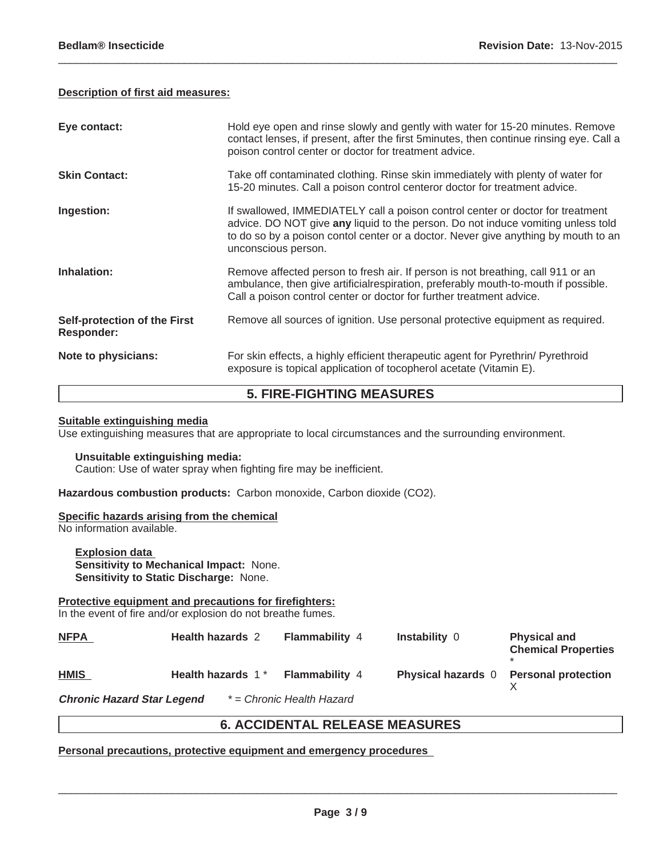#### **Description of first aid measures:**

| Eye contact:                                      | Hold eye open and rinse slowly and gently with water for 15-20 minutes. Remove<br>contact lenses, if present, after the first 5minutes, then continue rinsing eye. Call a<br>poison control center or doctor for treatment advice.                                              |
|---------------------------------------------------|---------------------------------------------------------------------------------------------------------------------------------------------------------------------------------------------------------------------------------------------------------------------------------|
| <b>Skin Contact:</b>                              | Take off contaminated clothing. Rinse skin immediately with plenty of water for<br>15-20 minutes. Call a poison control centeror doctor for treatment advice.                                                                                                                   |
| Ingestion:                                        | If swallowed, IMMEDIATELY call a poison control center or doctor for treatment<br>advice. DO NOT give any liquid to the person. Do not induce vomiting unless told<br>to do so by a poison contol center or a doctor. Never give anything by mouth to an<br>unconscious person. |
| Inhalation:                                       | Remove affected person to fresh air. If person is not breathing, call 911 or an<br>ambulance, then give artificial respiration, preferably mouth-to-mouth if possible.<br>Call a poison control center or doctor for further treatment advice.                                  |
| Self-protection of the First<br><b>Responder:</b> | Remove all sources of ignition. Use personal protective equipment as required.                                                                                                                                                                                                  |
| Note to physicians:                               | For skin effects, a highly efficient therapeutic agent for Pyrethrin/ Pyrethroid<br>exposure is topical application of tocopherol acetate (Vitamin E).                                                                                                                          |

 $\_$  ,  $\_$  ,  $\_$  ,  $\_$  ,  $\_$  ,  $\_$  ,  $\_$  ,  $\_$  ,  $\_$  ,  $\_$  ,  $\_$  ,  $\_$  ,  $\_$  ,  $\_$  ,  $\_$  ,  $\_$  ,  $\_$  ,  $\_$  ,  $\_$  ,  $\_$  ,  $\_$  ,  $\_$  ,  $\_$  ,  $\_$  ,  $\_$  ,  $\_$  ,  $\_$  ,  $\_$  ,  $\_$  ,  $\_$  ,  $\_$  ,  $\_$  ,  $\_$  ,  $\_$  ,  $\_$  ,  $\_$  ,  $\_$  ,

### **5. FIRE-FIGHTING MEASURES**

#### **Suitable extinguishing media**

Use extinguishing measures that are appropriate to local circumstances and the surrounding environment.

#### **Unsuitable extinguishing media:**

Caution: Use of water spray when fighting fire may be inefficient.

**Hazardous combustion products:** Carbon monoxide, Carbon dioxide (CO2).

#### **Specific hazards arising from the chemical**

No information available.

**Explosion data Sensitivity to Mechanical Impact:** None. **Sensitivity to Static Discharge:** None.

### **Protective equipment and precautions for firefighters:**

In the event of fire and/or explosion do not breathe fumes.

| <b>NFPA</b>                       | <b>Health hazards 2</b> | <b>Flammability 4</b>     | <b>Instability 0</b>      | <b>Physical and</b><br><b>Chemical Properties</b> |
|-----------------------------------|-------------------------|---------------------------|---------------------------|---------------------------------------------------|
| <b>HMIS</b>                       | Health hazards 1*       | <b>Flammability 4</b>     | <b>Physical hazards</b> 0 | <b>Personal protection</b>                        |
| <b>Chronic Hazard Star Legend</b> |                         | * = Chronic Health Hazard |                           |                                                   |

### **6. ACCIDENTAL RELEASE MEASURES**

**Personal precautions, protective equipment and emergency procedures**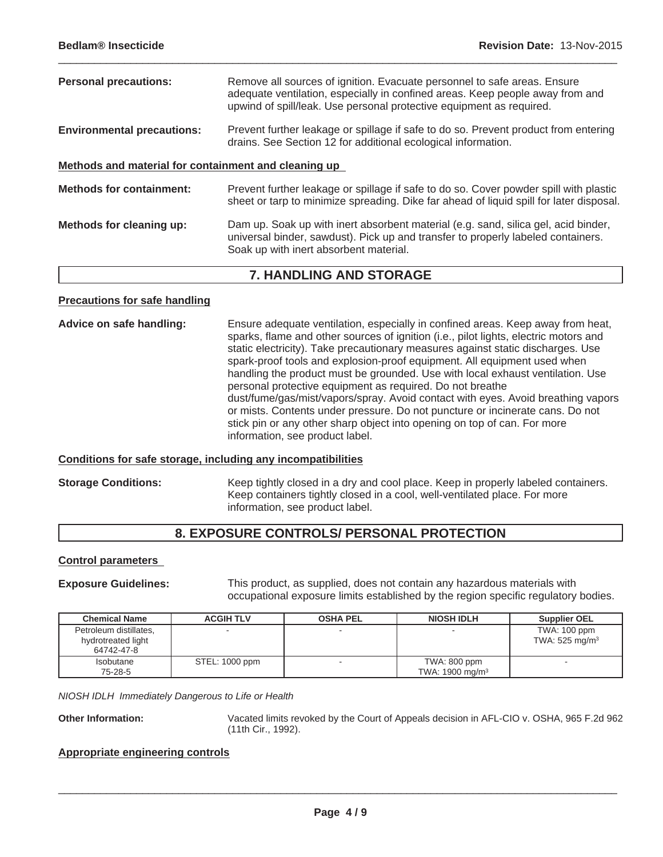**Personal precautions:** Remove all sources of ignition. Evacuate personnel to safe areas. Ensure adequate ventilation, especially in confined areas. Keep people away from and upwind of spill/leak. Use personal protective equipment as required. **Environmental precautions:** Prevent further leakage or spillage if safe to do so. Prevent product from entering drains. See Section 12 for additional ecological information. **Methods and material for containment and cleaning up Methods for containment:** Prevent further leakage or spillage if safe to do so. Cover powder spill with plastic sheet or tarp to minimize spreading. Dike far ahead of liquid spill for later disposal.

 $\_$  ,  $\_$  ,  $\_$  ,  $\_$  ,  $\_$  ,  $\_$  ,  $\_$  ,  $\_$  ,  $\_$  ,  $\_$  ,  $\_$  ,  $\_$  ,  $\_$  ,  $\_$  ,  $\_$  ,  $\_$  ,  $\_$  ,  $\_$  ,  $\_$  ,  $\_$  ,  $\_$  ,  $\_$  ,  $\_$  ,  $\_$  ,  $\_$  ,  $\_$  ,  $\_$  ,  $\_$  ,  $\_$  ,  $\_$  ,  $\_$  ,  $\_$  ,  $\_$  ,  $\_$  ,  $\_$  ,  $\_$  ,  $\_$  ,

**Methods for cleaning up:** Dam up. Soak up with inert absorbent material (e.g. sand, silica gel, acid binder, universal binder, sawdust). Pick up and transfer to properly labeled containers. Soak up with inert absorbent material.

### **7. HANDLING AND STORAGE**

#### **Precautions for safe handling**

**Advice on safe handling:** Ensure adequate ventilation, especially in confined areas. Keep away from heat, sparks, flame and other sources of ignition (i.e., pilot lights, electric motors and static electricity). Take precautionary measures against static discharges. Use spark-proof tools and explosion-proof equipment. All equipment used when handling the product must be grounded. Use with local exhaust ventilation. Use personal protective equipment as required. Do not breathe dust/fume/gas/mist/vapors/spray. Avoid contact with eyes. Avoid breathing vapors or mists. Contents under pressure. Do not puncture or incinerate cans. Do not stick pin or any other sharp object into opening on top of can. For more information, see product label.

#### **Conditions for safe storage, including any incompatibilities**

**Storage Conditions:** Keep tightly closed in a dry and cool place. Keep in properly labeled containers. Keep containers tightly closed in a cool, well-ventilated place. For more information, see product label.

### **8. EXPOSURE CONTROLS/ PERSONAL PROTECTION**

#### **Control parameters**

**Exposure Guidelines:** This product, as supplied, does not contain any hazardous materials with occupational exposure limits established by the region specific regulatory bodies.

| <b>Chemical Name</b>                                       | <b>ACGIH TLV</b> | <b>OSHA PEL</b> | <b>NIOSH IDLH</b>                          | <b>Supplier OEL</b>                          |
|------------------------------------------------------------|------------------|-----------------|--------------------------------------------|----------------------------------------------|
| Petroleum distillates,<br>hydrotreated light<br>64742-47-8 |                  |                 |                                            | TWA: 100 ppm<br>TWA: $525$ mg/m <sup>3</sup> |
| <b>Isobutane</b><br>75-28-5                                | STEL: 1000 ppm   |                 | TWA: 800 ppm<br>TWA: $1900 \text{ mg/m}^3$ |                                              |

*NIOSH IDLH Immediately Dangerous to Life or Health*

**Other Information:** Vacated limits revoked by the Court of Appeals decision in AFL-CIO v. OSHA, 965 F.2d 962 (11th Cir., 1992).

#### **Appropriate engineering controls**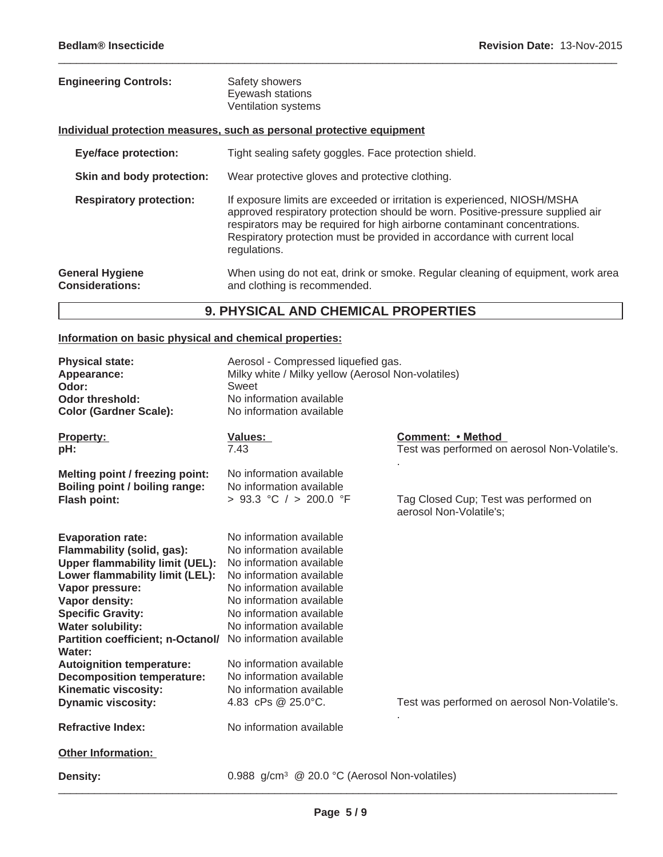| <b>Engineering Controls:</b>                     | Safety showers<br>Eyewash stations<br>Ventilation systems                                                                                                                                                                                                                                                                           |
|--------------------------------------------------|-------------------------------------------------------------------------------------------------------------------------------------------------------------------------------------------------------------------------------------------------------------------------------------------------------------------------------------|
|                                                  | Individual protection measures, such as personal protective equipment                                                                                                                                                                                                                                                               |
| <b>Eye/face protection:</b>                      | Tight sealing safety goggles. Face protection shield.                                                                                                                                                                                                                                                                               |
| Skin and body protection:                        | Wear protective gloves and protective clothing.                                                                                                                                                                                                                                                                                     |
| <b>Respiratory protection:</b>                   | If exposure limits are exceeded or irritation is experienced, NIOSH/MSHA<br>approved respiratory protection should be worn. Positive-pressure supplied air<br>respirators may be required for high airborne contaminant concentrations.<br>Respiratory protection must be provided in accordance with current local<br>regulations. |
| <b>General Hygiene</b><br><b>Considerations:</b> | When using do not eat, drink or smoke. Regular cleaning of equipment, work area<br>and clothing is recommended.                                                                                                                                                                                                                     |

 $\_$  ,  $\_$  ,  $\_$  ,  $\_$  ,  $\_$  ,  $\_$  ,  $\_$  ,  $\_$  ,  $\_$  ,  $\_$  ,  $\_$  ,  $\_$  ,  $\_$  ,  $\_$  ,  $\_$  ,  $\_$  ,  $\_$  ,  $\_$  ,  $\_$  ,  $\_$  ,  $\_$  ,  $\_$  ,  $\_$  ,  $\_$  ,  $\_$  ,  $\_$  ,  $\_$  ,  $\_$  ,  $\_$  ,  $\_$  ,  $\_$  ,  $\_$  ,  $\_$  ,  $\_$  ,  $\_$  ,  $\_$  ,  $\_$  ,

## **9. PHYSICAL AND CHEMICAL PROPERTIES**

### **Information on basic physical and chemical properties:**

| <b>Physical state:</b><br>Appearance:<br>Odor:<br><b>Odor threshold:</b><br><b>Color (Gardner Scale):</b>                                                                                                                                                                                                | Aerosol - Compressed liquefied gas.<br>Milky white / Milky yellow (Aerosol Non-volatiles)<br>Sweet<br>No information available<br>No information available                                                                   |                                                                    |
|----------------------------------------------------------------------------------------------------------------------------------------------------------------------------------------------------------------------------------------------------------------------------------------------------------|------------------------------------------------------------------------------------------------------------------------------------------------------------------------------------------------------------------------------|--------------------------------------------------------------------|
| Property:<br>pH:                                                                                                                                                                                                                                                                                         | <b>Values:</b><br>7.43                                                                                                                                                                                                       | Comment: • Method<br>Test was performed on aerosol Non-Volatile's. |
| Melting point / freezing point:<br>Boiling point / boiling range:<br><b>Flash point:</b>                                                                                                                                                                                                                 | No information available<br>No information available<br>> 93.3 °C / > 200.0 °F                                                                                                                                               | Tag Closed Cup; Test was performed on<br>aerosol Non-Volatile's;   |
| <b>Evaporation rate:</b><br>Flammability (solid, gas):<br><b>Upper flammability limit (UEL):</b><br>Lower flammability limit (LEL):<br>Vapor pressure:<br>Vapor density:<br><b>Specific Gravity:</b><br><b>Water solubility:</b><br>Partition coefficient; n-Octanol/ No information available<br>Water: | No information available<br>No information available<br>No information available<br>No information available<br>No information available<br>No information available<br>No information available<br>No information available |                                                                    |
| <b>Autoignition temperature:</b><br><b>Decomposition temperature:</b><br>Kinematic viscosity:<br><b>Dynamic viscosity:</b><br><b>Refractive Index:</b>                                                                                                                                                   | No information available<br>No information available<br>No information available<br>4.83 cPs @ 25.0°C.<br>No information available                                                                                           | Test was performed on aerosol Non-Volatile's.                      |
| <b>Other Information:</b><br><b>Density:</b>                                                                                                                                                                                                                                                             | 0.988 g/cm <sup>3</sup> @ 20.0 °C (Aerosol Non-volatiles)                                                                                                                                                                    |                                                                    |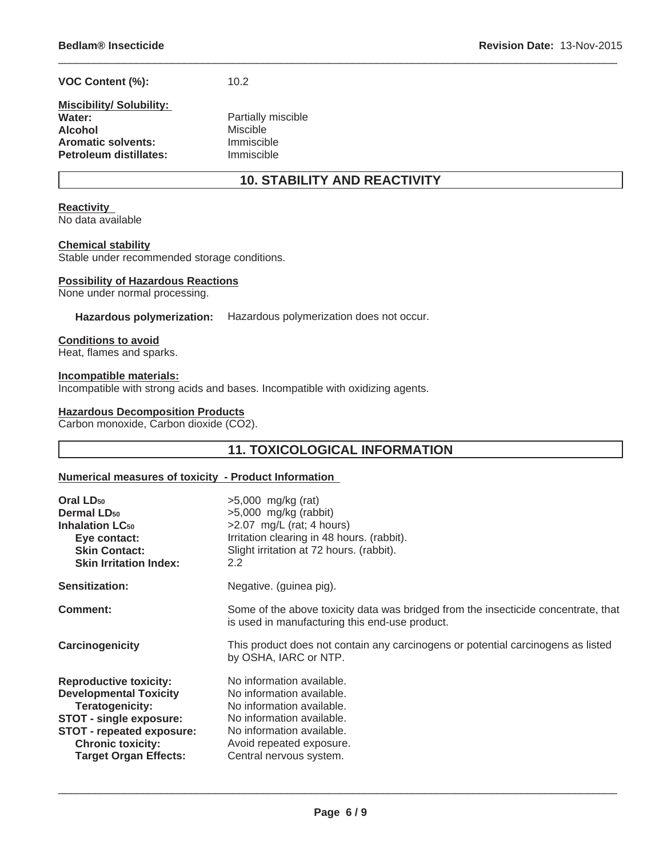| VOC Content (%): | 10.2 |
|------------------|------|
|                  |      |

| <b>Miscibility/Solubility:</b> |                    |
|--------------------------------|--------------------|
| Water:                         | Partially miscible |
| <b>Alcohol</b>                 | <b>Miscible</b>    |
| <b>Aromatic solvents:</b>      | Immiscible         |
| Petroleum distillates:         | Immiscible         |

### **10. STABILITY AND REACTIVITY**

 $\_$  ,  $\_$  ,  $\_$  ,  $\_$  ,  $\_$  ,  $\_$  ,  $\_$  ,  $\_$  ,  $\_$  ,  $\_$  ,  $\_$  ,  $\_$  ,  $\_$  ,  $\_$  ,  $\_$  ,  $\_$  ,  $\_$  ,  $\_$  ,  $\_$  ,  $\_$  ,  $\_$  ,  $\_$  ,  $\_$  ,  $\_$  ,  $\_$  ,  $\_$  ,  $\_$  ,  $\_$  ,  $\_$  ,  $\_$  ,  $\_$  ,  $\_$  ,  $\_$  ,  $\_$  ,  $\_$  ,  $\_$  ,  $\_$  ,

#### **Reactivity**

No data available

#### **Chemical stability**

Stable under recommended storage conditions.

#### **Possibility of Hazardous Reactions**

None under normal processing.

#### **Hazardous polymerization:** Hazardous polymerization does not occur.

#### **Conditions to avoid**

Heat, flames and sparks.

#### **Incompatible materials:**

Incompatible with strong acids and bases. Incompatible with oxidizing agents.

#### **Hazardous Decomposition Products**

Carbon monoxide, Carbon dioxide (CO2).

### **11. TOXICOLOGICAL INFORMATION**

#### **Numerical measures of toxicity - Product Information**

| Oral LD <sub>50</sub><br><b>Dermal LD<sub>50</sub></b><br><b>Inhalation LC50</b><br>Eye contact:<br><b>Skin Contact:</b><br><b>Skin Irritation Index:</b>                                                                  | $>5,000$ mg/kg (rat)<br>$>5,000$ mg/kg (rabbit)<br>$>2.07$ mg/L (rat; 4 hours)<br>Irritation clearing in 48 hours. (rabbit).<br>Slight irritation at 72 hours. (rabbit).<br>2.2                      |
|----------------------------------------------------------------------------------------------------------------------------------------------------------------------------------------------------------------------------|------------------------------------------------------------------------------------------------------------------------------------------------------------------------------------------------------|
| Sensitization:                                                                                                                                                                                                             | Negative. (guinea pig).                                                                                                                                                                              |
| Comment:                                                                                                                                                                                                                   | Some of the above toxicity data was bridged from the insecticide concentrate, that<br>is used in manufacturing this end-use product.                                                                 |
| Carcinogenicity                                                                                                                                                                                                            | This product does not contain any carcinogens or potential carcinogens as listed<br>by OSHA, IARC or NTP.                                                                                            |
| <b>Reproductive toxicity:</b><br><b>Developmental Toxicity</b><br><b>Teratogenicity:</b><br><b>STOT - single exposure:</b><br><b>STOT - repeated exposure:</b><br><b>Chronic toxicity:</b><br><b>Target Organ Effects:</b> | No information available.<br>No information available.<br>No information available.<br>No information available.<br>No information available.<br>Avoid repeated exposure.<br>Central nervous system. |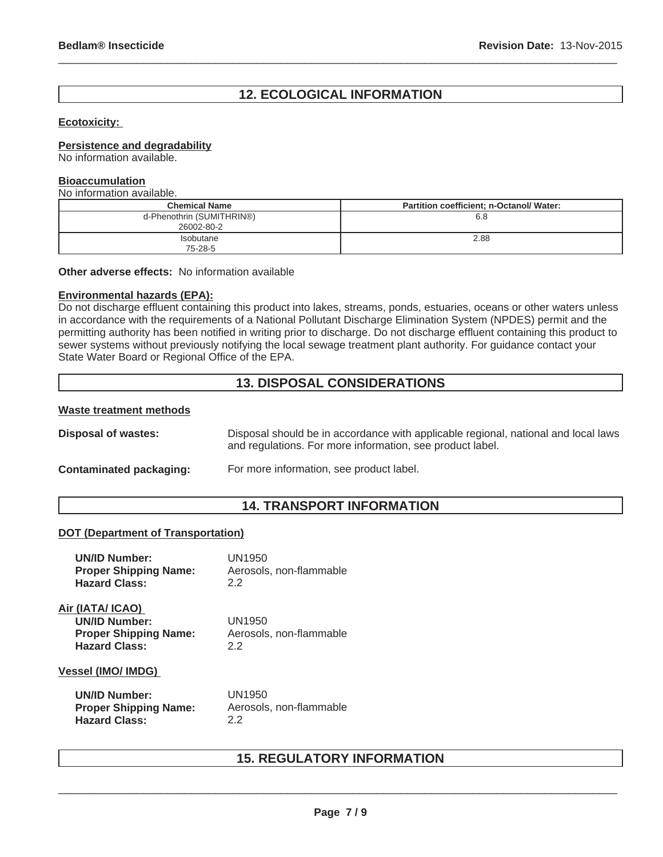### **12. ECOLOGICAL INFORMATION**

 $\_$  ,  $\_$  ,  $\_$  ,  $\_$  ,  $\_$  ,  $\_$  ,  $\_$  ,  $\_$  ,  $\_$  ,  $\_$  ,  $\_$  ,  $\_$  ,  $\_$  ,  $\_$  ,  $\_$  ,  $\_$  ,  $\_$  ,  $\_$  ,  $\_$  ,  $\_$  ,  $\_$  ,  $\_$  ,  $\_$  ,  $\_$  ,  $\_$  ,  $\_$  ,  $\_$  ,  $\_$  ,  $\_$  ,  $\_$  ,  $\_$  ,  $\_$  ,  $\_$  ,  $\_$  ,  $\_$  ,  $\_$  ,  $\_$  ,

#### **Ecotoxicity:**

#### **Persistence and degradability**

No information available.

#### **Bioaccumulation**

No information available.

| <b>Chemical Name</b>                    | Partition coefficient; n-Octanol/ Water: |
|-----------------------------------------|------------------------------------------|
| d-Phenothrin (SUMITHRIN®)<br>26002-80-2 | 6.8                                      |
| Isobutane<br>75-28-5                    | 2.88                                     |

**Other adverse effects:** No information available

#### **Environmental hazards (EPA):**

Do not discharge effluent containing this product into lakes, streams, ponds, estuaries, oceans or other waters unless in accordance with the requirements of a National Pollutant Discharge Elimination System (NPDES) permit and the permitting authority has been notified in writing prior to discharge. Do not discharge effluent containing this product to sewer systems without previously notifying the local sewage treatment plant authority. For guidance contact your State Water Board or Regional Office of the EPA.

### **13. DISPOSAL CONSIDERATIONS**

#### **Waste treatment methods**

**Disposal of wastes:** Disposal should be in accordance with applicable regional, national and local laws and regulations. For more information, see product label.

#### **Contaminated packaging:** For more information, see product label.

#### **14. TRANSPORT INFORMATION**

#### **DOT (Department of Transportation)**

| <b>UN/ID Number:</b>                                                                             | UN1950                                   |
|--------------------------------------------------------------------------------------------------|------------------------------------------|
| <b>Proper Shipping Name:</b>                                                                     | Aerosols, non-flammable                  |
| <b>Hazard Class:</b>                                                                             | 22                                       |
| Air (IATA/ ICAO)<br><b>UN/ID Number:</b><br><b>Proper Shipping Name:</b><br><b>Hazard Class:</b> | UN1950<br>Aerosols, non-flammable<br>2.2 |
| <b>Vessel (IMO/ IMDG)</b>                                                                        |                                          |
| <b>UN/ID Number:</b>                                                                             | UN1950                                   |
| <b>Proper Shipping Name:</b>                                                                     | Aerosols, non-flammable                  |
| <b>Hazard Class:</b>                                                                             | 22                                       |

### **15. REGULATORY INFORMATION**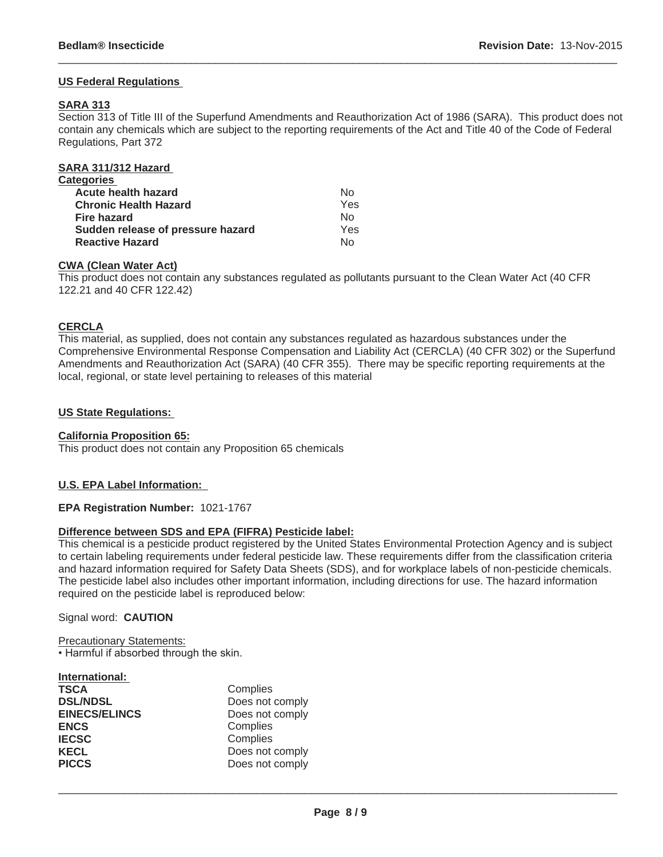#### **US Federal Regulations**

#### **SARA 313**

Section 313 of Title III of the Superfund Amendments and Reauthorization Act of 1986 (SARA). This product does not contain any chemicals which are subject to the reporting requirements of the Act and Title 40 of the Code of Federal Regulations, Part 372

 $\_$  ,  $\_$  ,  $\_$  ,  $\_$  ,  $\_$  ,  $\_$  ,  $\_$  ,  $\_$  ,  $\_$  ,  $\_$  ,  $\_$  ,  $\_$  ,  $\_$  ,  $\_$  ,  $\_$  ,  $\_$  ,  $\_$  ,  $\_$  ,  $\_$  ,  $\_$  ,  $\_$  ,  $\_$  ,  $\_$  ,  $\_$  ,  $\_$  ,  $\_$  ,  $\_$  ,  $\_$  ,  $\_$  ,  $\_$  ,  $\_$  ,  $\_$  ,  $\_$  ,  $\_$  ,  $\_$  ,  $\_$  ,  $\_$  ,

| SARA 311/312 Hazard               |     |
|-----------------------------------|-----|
| Categories                        |     |
| <b>Acute health hazard</b>        | N٥  |
| <b>Chronic Health Hazard</b>      | Yes |
| <b>Fire hazard</b>                | No  |
| Sudden release of pressure hazard | Yes |
| <b>Reactive Hazard</b>            | N٥  |
|                                   |     |

#### **CWA (Clean Water Act)**

This product does not contain any substances regulated as pollutants pursuant to the Clean Water Act (40 CFR 122.21 and 40 CFR 122.42)

#### **CERCLA**

This material, as supplied, does not contain any substances regulated as hazardous substances under the Comprehensive Environmental Response Compensation and Liability Act (CERCLA) (40 CFR 302) or the Superfund Amendments and Reauthorization Act (SARA) (40 CFR 355). There may be specific reporting requirements at the local, regional, or state level pertaining to releases of this material

#### **US State Regulations:**

#### **California Proposition 65:**

This product does not contain any Proposition 65 chemicals

#### **U.S. EPA Label Information:**

#### **EPA Registration Number:** 1021-1767

#### **Difference between SDS and EPA (FIFRA) Pesticide label:**

This chemical is a pesticide product registered by the United States Environmental Protection Agency and is subject to certain labeling requirements under federal pesticide law. These requirements differ from the classification criteria and hazard information required for Safety Data Sheets (SDS), and for workplace labels of non-pesticide chemicals. The pesticide label also includes other important information, including directions for use. The hazard information required on the pesticide label is reproduced below:

#### Signal word: **CAUTION**

Precautionary Statements: • Harmful if absorbed through the skin.

| Complies        |
|-----------------|
| Does not comply |
| Does not comply |
| Complies        |
| Complies        |
| Does not comply |
| Does not comply |
|                 |